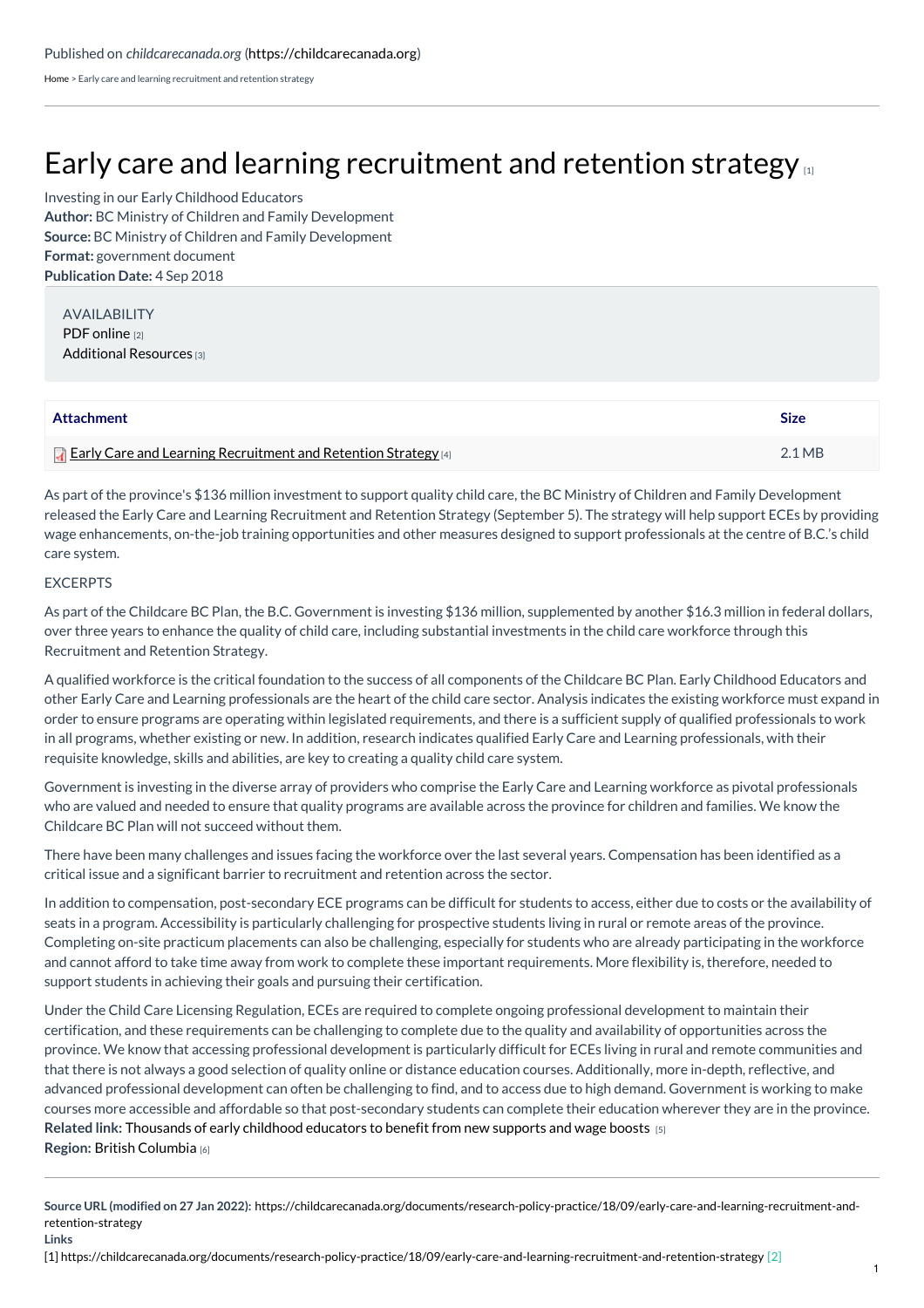[Home](https://childcarecanada.org/) > Early care and learning recruitment and retention strategy

## Early care and learning [recruitment](https://childcarecanada.org/documents/research-policy-practice/18/09/early-care-and-learning-recruitment-and-retention-strategy) and retention strategy  $\mu$

**Author:** BC Ministry of Children and Family Development **Source:** BC Ministry of Children and Family Development **Format:** government document **Publication Date:** 4 Sep 2018 Investing in our Early Childhood Educators

AVAILABILITY PDF [online](https://www2.gov.bc.ca/assets/gov/family-and-social-supports/child-care/6337_earlycareandlearningrecruitment_andretentionstrategy_report_web.pdf) [2] [Additional](https://www2.gov.bc.ca/gov/content/family-social-supports/caring-for-young-children/recruitment-retention-strategy) Resources [3]

| Attachment                                                              | <b>Size</b>      |
|-------------------------------------------------------------------------|------------------|
| <b>T</b> Early Care and Learning Recruitment and Retention Strategy [4] | $2.1 \text{ MB}$ |

As part of the province's \$136 million investment to support quality child care, the BC Ministry of Children and Family Development released the Early Care and Learning Recruitment and Retention Strategy (September 5). The strategy will help support ECEs by providing wage enhancements, on-the-job training opportunities and other measures designed to support professionals at the centre of B.C.'s child care system.

## EXCERPTS

As part of the Childcare BC Plan, the B.C. Government is investing \$136 million, supplemented by another \$16.3 million in federal dollars, over three years to enhance the quality of child care, including substantial investments in the child care workforce through this Recruitment and Retention Strategy.

A qualified workforce is the critical foundation to the success of all components of the Childcare BC Plan. Early Childhood Educators and other Early Care and Learning professionals are the heart of the child care sector. Analysis indicates the existing workforce must expand in order to ensure programs are operating within legislated requirements, and there is a sufficient supply of qualified professionals to work in all programs, whether existing or new. In addition, research indicates qualified Early Care and Learning professionals, with their requisite knowledge, skills and abilities, are key to creating a quality child care system.

Government is investing in the diverse array of providers who comprise the Early Care and Learning workforce as pivotal professionals who are valued and needed to ensure that quality programs are available across the province for children and families. We know the Childcare BC Plan will not succeed without them.

There have been many challenges and issues facing the workforce over the last several years. Compensation has been identified as a critical issue and a significant barrier to recruitment and retention across the sector.

In addition to compensation, post-secondary ECE programs can be difficult for students to access, either due to costs or the availability of seats in a program. Accessibility is particularly challenging for prospective students living in rural or remote areas of the province. Completing on-site practicum placements can also be challenging, especially for students who are already participating in the workforce and cannot afford to take time away from work to complete these important requirements. More flexibility is, therefore, needed to support students in achieving their goals and pursuing their certification.

**Related link:** [Thousands](https://childcarecanada.org/documents/child-care-news/18/09/thousands-early-childhood-educators-benefit-new-supports-and-wage) of early childhood educators to benefit from new supports and wage boosts [5] **Region:** British [Columbia](https://childcarecanada.org/taxonomy/term/7860) [6] Under the Child Care Licensing Regulation, ECEs are required to complete ongoing professional development to maintain their certification, and these requirements can be challenging to complete due to the quality and availability of opportunities across the province. We know that accessing professional development is particularly difficult for ECEs living in rural and remote communities and that there is not always a good selection of quality online or distance education courses. Additionally, more in-depth, reflective, and advanced professional development can often be challenging to find, and to access due to high demand. Government is working to make courses more accessible and affordable so that post-secondary students can complete their education wherever they are in the province.